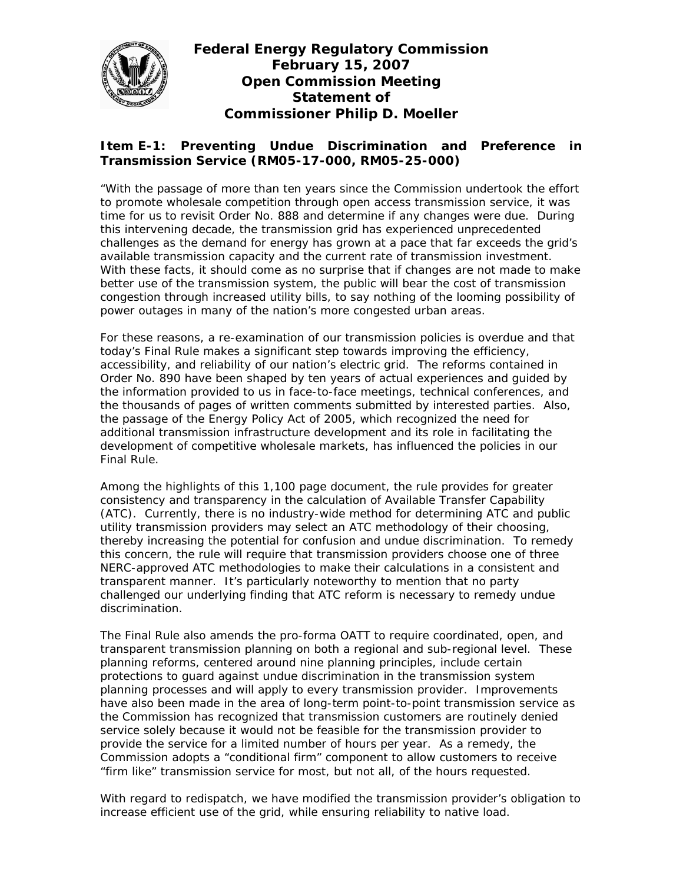

## **Federal Energy Regulatory Commission February 15, 2007 Open Commission Meeting Statement of Commissioner Philip D. Moeller**

## **Item E-1: Preventing Undue Discrimination and Preference in Transmission Service (RM05-17-000, RM05-25-000)**

"With the passage of more than ten years since the Commission undertook the effort to promote wholesale competition through open access transmission service, it was time for us to revisit Order No. 888 and determine if any changes were due. During this intervening decade, the transmission grid has experienced unprecedented challenges as the demand for energy has grown at a pace that far exceeds the grid's available transmission capacity and the current rate of transmission investment. With these facts, it should come as no surprise that if changes are not made to make better use of the transmission system, the public will bear the cost of transmission congestion through increased utility bills, to say nothing of the looming possibility of power outages in many of the nation's more congested urban areas.

For these reasons, a re-examination of our transmission policies is overdue and that today's Final Rule makes a significant step towards improving the efficiency, accessibility, and reliability of our nation's electric grid. The reforms contained in Order No. 890 have been shaped by ten years of actual experiences and guided by the information provided to us in face-to-face meetings, technical conferences, and the thousands of pages of written comments submitted by interested parties. Also, the passage of the Energy Policy Act of 2005, which recognized the need for additional transmission infrastructure development and its role in facilitating the development of competitive wholesale markets, has influenced the policies in our Final Rule.

Among the highlights of this 1,100 page document, the rule provides for greater consistency and transparency in the calculation of Available Transfer Capability (ATC). Currently, there is no industry-wide method for determining ATC and public utility transmission providers may select an ATC methodology of their choosing, thereby increasing the potential for confusion and undue discrimination. To remedy this concern, the rule will require that transmission providers choose one of three NERC-approved ATC methodologies to make their calculations in a consistent and transparent manner. It's particularly noteworthy to mention that no party challenged our underlying finding that ATC reform is necessary to remedy undue discrimination.

The Final Rule also amends the pro-forma OATT to require coordinated, open, and transparent transmission planning on both a regional and sub-regional level. These planning reforms, centered around nine planning principles, include certain protections to guard against undue discrimination in the transmission system planning processes and will apply to every transmission provider. Improvements have also been made in the area of long-term point-to-point transmission service as the Commission has recognized that transmission customers are routinely denied service solely because it would not be feasible for the transmission provider to provide the service for a limited number of hours per year. As a remedy, the Commission adopts a "conditional firm" component to allow customers to receive "firm like" transmission service for most, but not all, of the hours requested.

With regard to redispatch, we have modified the transmission provider's obligation to increase efficient use of the grid, while ensuring reliability to native load.